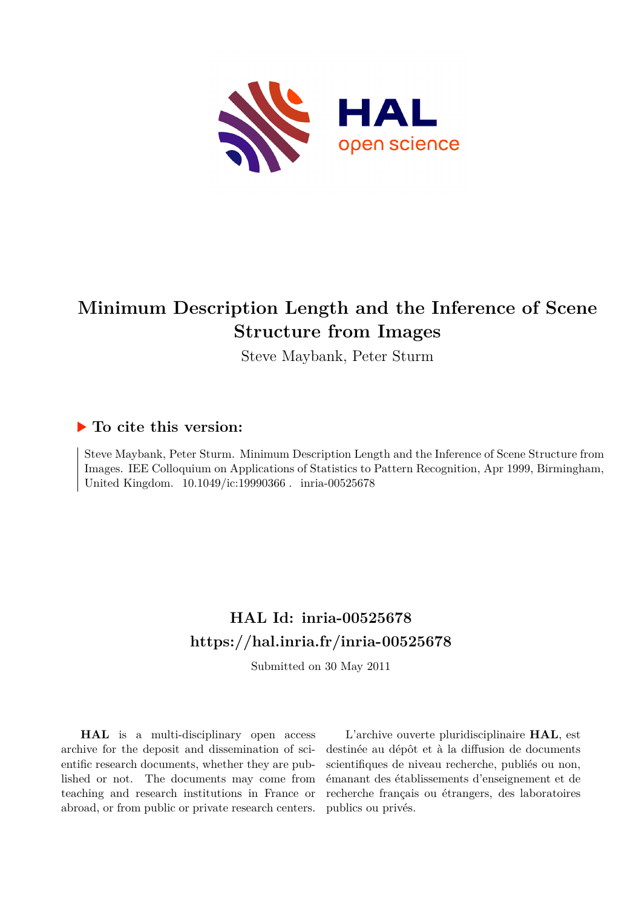

# **Minimum Description Length and the Inference of Scene Structure from Images**

Steve Maybank, Peter Sturm

# **To cite this version:**

Steve Maybank, Peter Sturm. Minimum Description Length and the Inference of Scene Structure from Images. IEE Colloquium on Applications of Statistics to Pattern Recognition, Apr 1999, Birmingham, United Kingdom. 10.1049/ic:19990366. inria-00525678

# **HAL Id: inria-00525678 <https://hal.inria.fr/inria-00525678>**

Submitted on 30 May 2011

**HAL** is a multi-disciplinary open access archive for the deposit and dissemination of scientific research documents, whether they are published or not. The documents may come from teaching and research institutions in France or abroad, or from public or private research centers.

L'archive ouverte pluridisciplinaire **HAL**, est destinée au dépôt et à la diffusion de documents scientifiques de niveau recherche, publiés ou non, émanant des établissements d'enseignement et de recherche français ou étrangers, des laboratoires publics ou privés.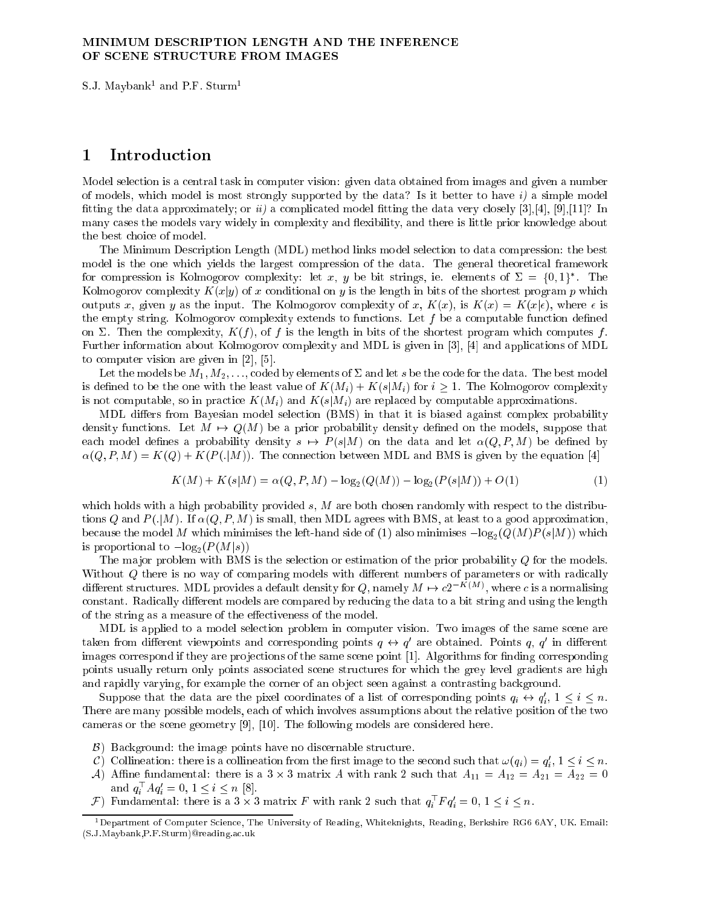### MINIMUM DESCRIPTION LENGTH AND THE INFERENCE OF SCENE STRUCTURE FROM IMAGES

S.J. Maybank1 and P.F. Sturm1

#### 1Introduction

Model selection is a central task in computer vision: given data obtained from images and given a number of models, which model is most strongly supported by the data? Is it better to have  $i$  a simple model fitting the data approximately; or *ii*) a complicated model fitting the data very closely [3], [4], [9], [11]? In many cases the models vary widely in complexity and flexibility, and there is little prior knowledge about the best choice of model.

The Minimum Description Length (MDL) method links model selection to data compression: the best model is the one which yields the largest compression of the data. The general theoretical framework for compression is Kolmogorov complexity: let  $x,~y$  be bit strings, ie. elements of  $\Sigma = \{0,1\}$  . The Kolmogorov complexity  $K(x|y)$  of x conditional on y is the length in bits of the shortest program p which outputs x, given y as the input. The Kolmogorov complexity of x,  $K(x)$ , is  $K(x) = K(x|\epsilon)$ , where  $\epsilon$  is the empty string. Kolmogorov complexity extends to functions. Let  $f$  be a computable function defined on  $\Sigma$ . Then the complexity,  $K(f)$ , of f is the length in bits of the shortest program which computes f. Further information about Kolmogorov complexity and MDL is given in [3], [4] and applications of MDL to computer vision are given in [2], [5].

Let the models be  $M_1, M_2, \ldots$ , coded by elements of  $\Sigma$  and let s be the code for the data. The best model is defined to be the one with the least value of  $K(M_i) + K(s|M_i)$  for  $i \geq 1$ . The Kolmogorov complexity is not computable, so in practice  $K(M_i)$  and  $K(s|M_i)$  are replaced by computable approximations.

MDL differs from Bayesian model selection (BMS) in that it is biased against complex probability density functions. Let  $M \mapsto Q(M)$  be a prior probability density defined on the models, suppose that each model defines a probability density  $s \mapsto P(s|M)$  on the data and let  $\alpha(Q, P, M)$  be defined by  $\alpha(Q, P, M) = K(Q) + K(P(.|M))$ . The connection between MDL and BMS is given by the equation [4]

$$
K(M) + K(s|M) = \alpha(Q, P, M) - \log_2(Q(M)) - \log_2(P(s|M)) + O(1)
$$
\n(1)

which holds with a high probability provided  $s$ ,  $M$  are both chosen randomly with respect to the distributions Q and  $P(.|M)$ . If  $\alpha(Q, P, M)$  is small, then MDL agrees with BMS, at least to a good approximation, because the model M which minimises the left-hand side of (1) also minimises  $-\log_2(Q(M)P(s|M))$  which is proportional to  $-\log_2(P(M|s))$ 

The major problem with BMS is the selection or estimation of the prior probability Q for the models. Without  $Q$  there is no way of comparing models with different numbers of parameters or with radically different structures. MDL provides a default density for Q, namely  $M \to c2^{-K(M)}$ , where c is a normalising constant. Radically different models are compared by reducing the data to a bit string and using the length of the string as a measure of the effectiveness of the model.

MDL is applied to a model selection problem in computer vision. Two images of the same scene are taken from different viewpoints and corresponding points  $q\leftrightarrow q^\prime$  are obtained. Points  $q,\ q^\prime$  in different images correspond if they are projections of the same scene point [1]. Algorithms for finding corresponding points usually return only points associated scene structures for which the grey level gradients are high and rapidly varying, for example the corner of an object seen against a contrasting background.

Suppose that the data are the pixel coordinates of a list of corresponding points  $q_i \leftrightarrow q'_i$ ,  $1 \leq i \leq n$ . <sup>i</sup> There are many possible models, each of which involves assumptions about the relative position of the two cameras or the scene geometry [9], [10]. The following models are considered here.

- $\mathcal B$ ) Background: the image points have no discernable structure.
- C) Collineation: there is a collineation from the first image to the second such that  $\omega(q_i) = q'_i, 1 \leq i \leq n$ .

<sup>i</sup>

- A) Affine fundamental: there is a  $3 \times 3$  matrix A with rank 2 such that  $A_{11} = A_{12} = A_{21} = A_{22} = 0$ and  $q_i^{\top} A q_i' = 0, 1 \leq i \leq n$  [8].
- F) Fundamental: there is a  $3 \times 3$  matrix F with rank 2 such that  $q_i^T F q_i' = 0, 1 \le i \le n$ .

 $^1$ Department of Computer Science, The University of Reading, Whiteknights, Reading, Berkshire RG6 6AY, UK. Email: (S.J.Maybank,P.F.Sturm)@reading.ac.uk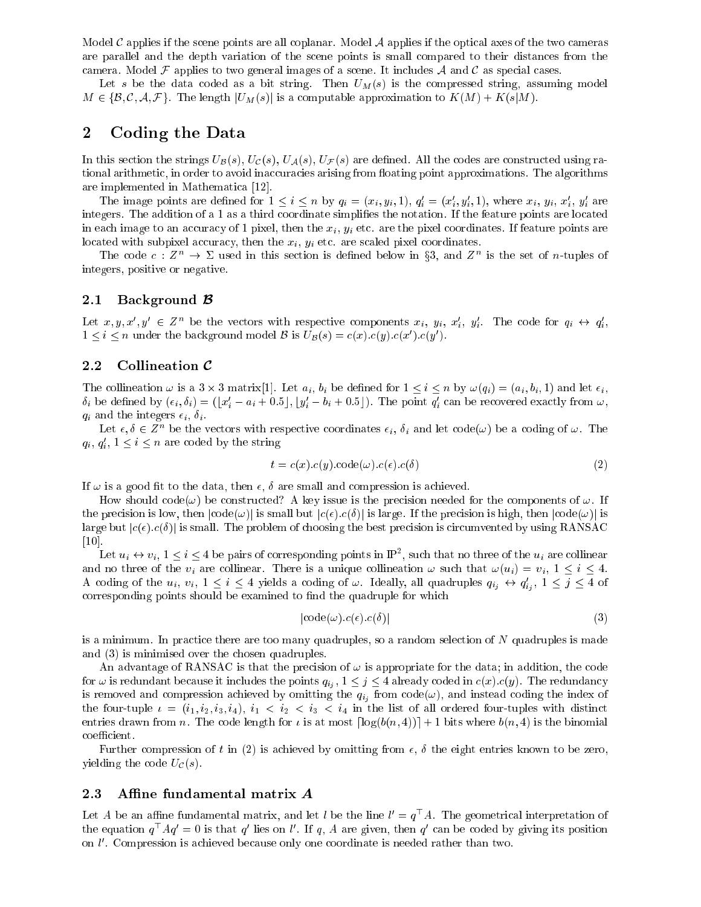Model  $\mathcal C$  applies if the scene points are all coplanar. Model  $\mathcal A$  applies if the optical axes of the two cameras are parallel and the depth variation of the scene points is small compared to their distances from the camera. Model  $\mathcal F$  applies to two general images of a scene. It includes  $\mathcal A$  and  $\mathcal C$  as special cases.

Let s be the data coded as a bit string. Then  $U_M(s)$  is the compressed string, assuming model  $M \in \{\mathcal{B}, \mathcal{C}, \mathcal{A}, \mathcal{F}\}.$  The length  $|U_M(s)|$  is a computable approximation to  $K(M) + K(s|M)$ .

# 2 Coding the Data

In this section the strings  $U_B(s)$ ,  $U_C(s)$ ,  $U_A(s)$ ,  $U_{\mathcal{F}}(s)$  are defined. All the codes are constructed using rational arithmetic, in order to avoid inaccuracies arising from floating point approximations. The algorithms are implemented in Mathematica [12].

The image points are defined for  $1 \leq i \leq n$  by  $q_i = (x_i, y_i, 1), q'_i = (x'_i, y'_i, 1),$  where  $x_i, y_i, x'_i, y'_i$  are integers. The addition of a 1 as a third coordinate simplifies the notation. If the feature points are located in each image to an accuracy of 1 pixel, then the  $x_i$ ,  $y_i$  etc. are the pixel coordinates. If feature points are located with subpixel accuracy, then the  $x_i$ ,  $y_i$  etc. are scaled pixel coordinates.

The code  $c: Z^n \to \Sigma$  used in this section is defined below in §3, and  $Z^n$  is the set of *n*-tuples of integers, positive or negative.

### 2.1 Background B

Let  $x, y, x', y' \in Z^n$  be the vectors with respective components  $x_i, y_i, x'_i, y'_i$ . The code for  $q_i \leftrightarrow q'_i$ ,  $1 \leq i \leq n$  under the background model B is  $U_B(s) = c(x).c(y).c(x').c(y')$ .

## 2.2 Collineation <sup>C</sup>

The collineation  $\omega$  is a  $3 \times 3$  matrix 1. Let  $a_i, b_i$  be defined for  $1 \leq i \leq n$  by  $\omega(q_i) = (a_i, b_i, 1)$  and let  $\epsilon_i$ ,  $\delta_i$  be defined by  $(\epsilon_i, \delta_i) = (\lfloor x_i' - a_i + 0.5 \rfloor, \lfloor y_i' - b_i + 0.5 \rfloor)$ . The point  $q_i'$  can be recovered exactly from  $\omega$ ,  $q_i$  and the integers  $\epsilon_i$ ,  $\delta_i$ .

Let  $\epsilon, \delta \in Z^n$  be the vectors with respective coordinates  $\epsilon_i$ ,  $\delta_i$  and let code( $\omega$ ) be a coding of  $\omega$ . The  $q_i, q'_i, 1 \leq i \leq n$  are coded by the string

$$
t = c(x).c(y).code(\omega).c(\epsilon).c(\delta)
$$
\n
$$
(2)
$$

If  $\omega$  is a good fit to the data, then  $\epsilon$ ,  $\delta$  are small and compression is achieved.

How should code( $\omega$ ) be constructed? A key issue is the precision needed for the components of  $\omega$ . If the precision is low, then  $|code(\omega)|$  is small but  $|c(\epsilon).c(\delta)|$  is large. If the precision is high, then  $|code(\omega)|$  is large but  $|c(\epsilon), c(\delta)|$  is small. The problem of choosing the best precision is circumvented by using RANSAC [10].

Let  $u_i \leftrightarrow v_i$ ,  $1 \le i \le 4$  be pairs of corresponding points in  $\mathbb{P}^2$ , such that no three of the  $u_i$  are collinear and no three of the  $v_i$  are collinear. There is a unique collineation  $\omega$  such that  $\omega(u_i) = v_i, 1 \le i \le 4$ . A coding of the  $u_i, v_i, 1 \le i \le 4$  yields a coding of  $\omega$ . Ideally, all quadruples  $q_{i_j} \leftrightarrow q'_{i_j}$ ,  $1 \le j \le 4$  of corresponding points should be examined to find the quadruple for which

$$
|\text{code}(\omega).c(\epsilon).c(\delta)|\tag{3}
$$

is a minimum. In practice there are too many quadruples, so a random selection of  $N$  quadruples is made and (3) is minimised over the chosen quadruples.

An advantage of RANSAC is that the precision of  $\omega$  is appropriate for the data; in addition, the code for  $\omega$  is redundant because it includes the points  $q_{i_j}, 1 \leq j \leq 4$  already coded in  $c(x).c(y)$ . The redundancy is removed and compression achieved by omitting the  $q_{i_j}$  from code( $\omega$ ), and instead coding the index of the four-tuple  $i = (i_1, i_2, i_3, i_4), i_1 < i_2 < i_3 < i_4$  in the list of all ordered four-tuples with distinct entries drawn from n. The code length for  $\iota$  is at most  $\lceil \log(b(n, 4)) \rceil + 1$  bits where  $b(n, 4)$  is the binomial coefficient.

Further compression of t in (2) is achieved by omitting from  $\epsilon$ ,  $\delta$  the eight entries known to be zero, yielding the code  $U_{\mathcal{C}}(s)$ .

### 2.3 Affine fundamental matrix  $A$

Let A be an affine fundamental matrix, and let l be the line  $l' = q<sup>\dagger</sup> A$ . The geometrical interpretation of the equation  $q' Aq' = 0$  is that q' lies on l'. If q, A are given, then q' can be coded by giving its position on l <sup>0</sup> . Compression is achieved because only one coordinate is needed rather than two.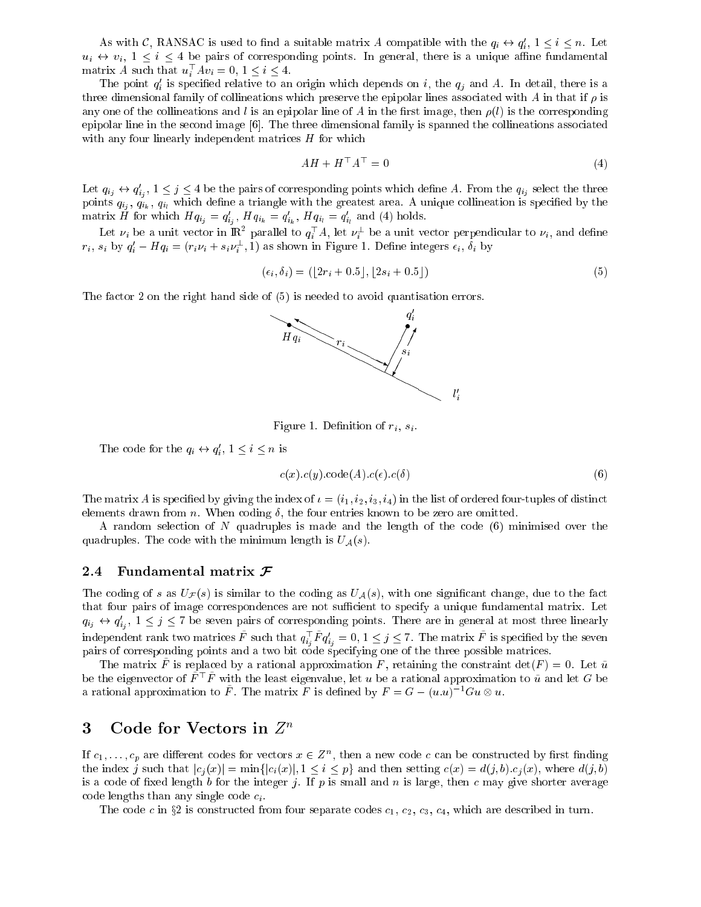As with C, RANSAC is used to find a suitable matrix A compatible with the  $q_i \leftrightarrow q'_i$ ,  $1 \leq i \leq n$ . Let  $u_i \leftrightarrow v_i$ ,  $1 \leq i \leq 4$  be pairs of corresponding points. In general, there is a unique affine fundamental matrix A such that  $u_i^{\dagger} A v_i = 0, 1 \leq i \leq 4$ .

The point  $q_i$  is specified relative to an origin which depends on i, the  $q_i$  and A. In detail, there is a three dimensional family of collineations which preserve the epipolar lines associated with A in that if  $\rho$  is any one of the collineations and l is an epipolar line of A in the first image, then  $\rho(l)$  is the corresponding epipolar line in the second image [6]. The three dimensional family is spanned the collineations associated with any four linearly independent matrices  $H$  for which

$$
AH + H^{\top}A^{\top} = 0 \tag{4}
$$

Let  $q_{i_j} \leftrightarrow q'_{i_j}, 1 \leq j \leq 4$  be the pairs of corresponding points which define A. From the  $q_{i_j}$  select the three points  $q_{i_j},\,q_{i_k},\,q_{i_l}$  which define a triangle with the greatest area. A unique collineation is specified by the matrix H for which  $Hq_{i_j} = q'_{i_j}$ ,  $Hq_{i_k} = q'_{i_k}$ ,  $Hq_{i_l} = q'_{i_l}$  and (4) holds.

Let  $\nu_i$  be a unit vector in  $\mathbb{R}^2$  parallel to  $q_i^+ A$ , let  $\nu_i^+$  be a unit vector perpendicular to  $\nu_i$ , and define  $r_i, s_i$  by  $q'_i - Hq_i = (r_i \nu_i + s_i \nu_i^{\perp}, 1)$  as shown in Figure 1. Define integers  $\epsilon_i$ ,  $\delta_i$  by <sup>i</sup>

$$
(\epsilon_i, \delta_i) = (\lfloor 2r_i + 0.5 \rfloor, \lfloor 2s_i + 0.5 \rfloor) \tag{5}
$$

The factor 2 on the right hand side of (5) is needed to avoid quantisation errors.



Figure 1. Definition of  $r_i$ ,  $s_i$ .

The code for the  $q_i \leftrightarrow q'_i, 1 \leq i \leq n$  is

$$
c(x).c(y).code(A).c(\epsilon).c(\delta)
$$
\n(6)

The matrix A is specified by giving the index of  $\iota = (i_1, i_2, i_3, i_4)$  in the list of ordered four-tuples of distinct elements drawn from n. When coding  $\delta$ , the four entries known to be zero are omitted.

A random selection of N quadruples is made and the length of the code (6) minimised over the quadruples. The code with the minimum length is  $U_A(s)$ .

#### 2.4 Fundamental matrix  $\mathcal F$

The coding of s as  $U_{\mathcal{F}}(s)$  is similar to the coding as  $U_{\mathcal{A}}(s)$ , with one significant change, due to the fact that four pairs of image correspondences are not sufficient to specify a unique fundamental matrix. Let  $q_{i_j} \leftrightarrow q'_{i_j}$ ,  $1 \leq j \leq 7$  be seven pairs of corresponding points. There are in general at most three linearly independent rank two matrices F~ such that  $q_{i_j}^+ F q_{i_j}' = 0, 1 \le j \le 7$ . The matrix F^ is specified by the seven pairs of corresponding points and a two bit code specifying one of the three possible matrices.

The matrix  $\tilde{F}$  is replaced by a rational approximation F, retaining the constraint det(F) = 0. Let  $\tilde{u}$ be the eigenvector of  $F^+F$  with the least eigenvalue, let u be a rational approximation to  $\tilde{u}$  and let G be a rational approximation to F. The matrix F is defined by  $F = G - (u.u)^{-1}Gu \otimes u$ .

# 3 Code for Vectors in  $Z^n$

If  $c_1, \ldots, c_p$  are different codes for vectors  $x \in \mathbb{Z}^n$ , then a new code c can be constructed by first finding the index j such that  $|c_j(x)| = \min\{|c_i(x)|, 1 \le i \le p\}$  and then setting  $c(x) = d(j, b) \cdot c_j(x)$ , where  $d(j, b)$ is a code of fixed length b for the integer j. If p is small and n is large, then c may give shorter average code lengths than any single code  $c_i$ .

The code c in §2 is constructed from four separate codes  $c_1$ ,  $c_2$ ,  $c_3$ ,  $c_4$ , which are described in turn.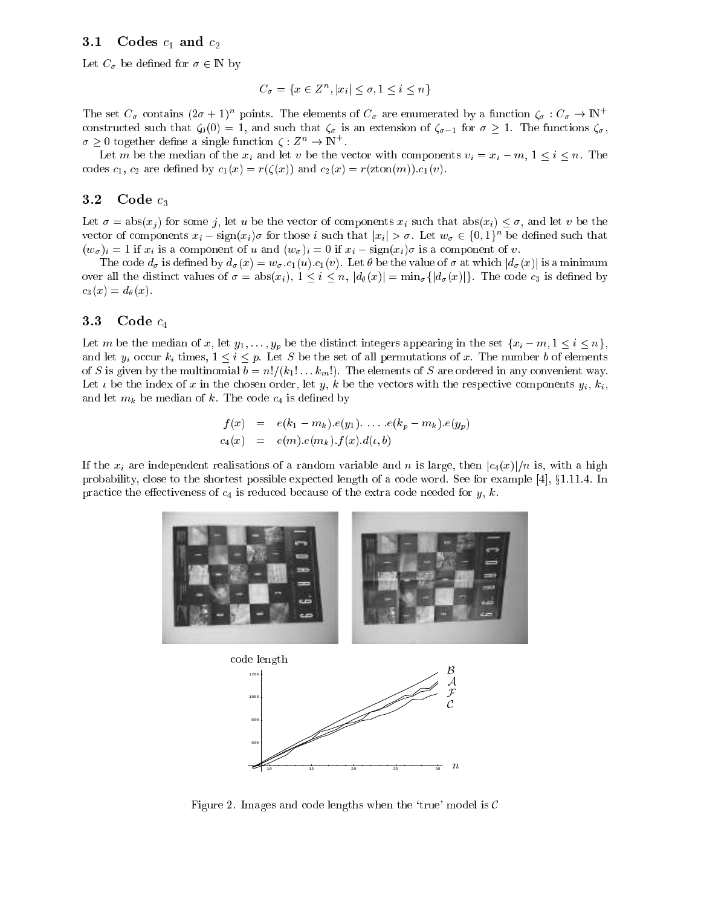# 3.1 Codes  $c_1$  and  $c_2$

Let  $C_{\sigma}$  be defined for  $\sigma \in \mathbb{N}$  by

$$
C_{\sigma} = \{ x \in \mathbb{Z}^n, |x_i| \le \sigma, 1 \le i \le n \}
$$

The set  $C_{\sigma}$  contains  $(2\sigma+1)^n$  points. The elements of  $C_{\sigma}$  are enumerated by a function  $\zeta_{\sigma}: C_{\sigma} \to \mathbb{N}^+$ constructed such that  $\zeta_0(0) = 1$ , and such that  $\zeta_\sigma$  is an extension of  $\zeta_{\sigma-1}$  for  $\sigma \geq 1$ . The functions  $\zeta_\sigma$ ,  $\sigma \geq 0$  together define a single function  $\zeta : Z^n \to \mathbb{N}^+$ .

Let m be the median of the  $x_i$  and let v be the vector with components  $v_i = x_i - m, 1 \le i \le n$ . The codes  $c_1, c_2$  are defined by  $c_1(x) = r(\zeta(x))$  and  $c_2(x) = r(\text{zton}(m)).c_1(v)$ .

### 3.2 Code  $c_3$

Let  $\sigma = \text{abs}(x_i)$  for some j, let u be the vector of components  $x_i$  such that  $\text{abs}(x_i) \leq \sigma$ , and let v be the vector of components  $x_i - \text{sign}(x_i) \sigma$  for those i such that  $|x_i| > \sigma$ . Let  $w_{\sigma} \in \{0,1\}^n$  be defined such that  $(w_{\sigma})_i = 1$  if  $x_i$  is a component of u and  $(w_{\sigma})_i = 0$  if  $x_i - \text{sign}(x_i)$  is a component of v.

The code  $d_{\sigma}$  is defined by  $d_{\sigma}(x) = w_{\sigma} c_1(u) c_1(v)$ . Let  $\theta$  be the value of  $\sigma$  at which  $|d_{\sigma}(x)|$  is a minimum over all the distinct values of  $\sigma = abs(x_i)$ ,  $1 \leq i \leq n$ ,  $|d_\theta(x)| = min_\sigma\{|d_\sigma(x)|\}$ . The code  $c_3$  is defined by  $c_3(x) = d_{\theta}(x)$ .

# 3.3 Code  $c_4$

Let m be the median of x, let  $y_1, \ldots, y_p$  be the distinct integers appearing in the set  $\{x_i - m, 1 \le i \le n\}$ , and let  $y_i$  occur  $k_i$  times,  $1 \le i \le p$ . Let S be the set of all permutations of x. The number b of elements of S is given by the multinomial  $b = n!/(k_1! \dots k_m!)$ . The elements of S are ordered in any convenient way. Let  $\iota$  be the index of x in the chosen order, let y, k be the vectors with the respective components  $y_i$ ,  $k_i$ , and let  $m_k$  be median of k. The code  $c_4$  is defined by

$$
f(x) = e(k_1 - m_k).e(y_1). \ldots .e(k_p - m_k).e(y_p) c_4(x) = e(m).e(m_k).f(x).d(\iota, b)
$$

If the  $x_i$  are independent realisations of a random variable and n is large, then  $|c_4(x)|/n$  is, with a high probability, close to the shortest possible expected length of a code word. See for example [4], §1.11.4. In practice the effectiveness of  $c_4$  is reduced because of the extra code needed for y, k.





Figure 2. Images and code lengths when the 'true' model is  $\mathcal C$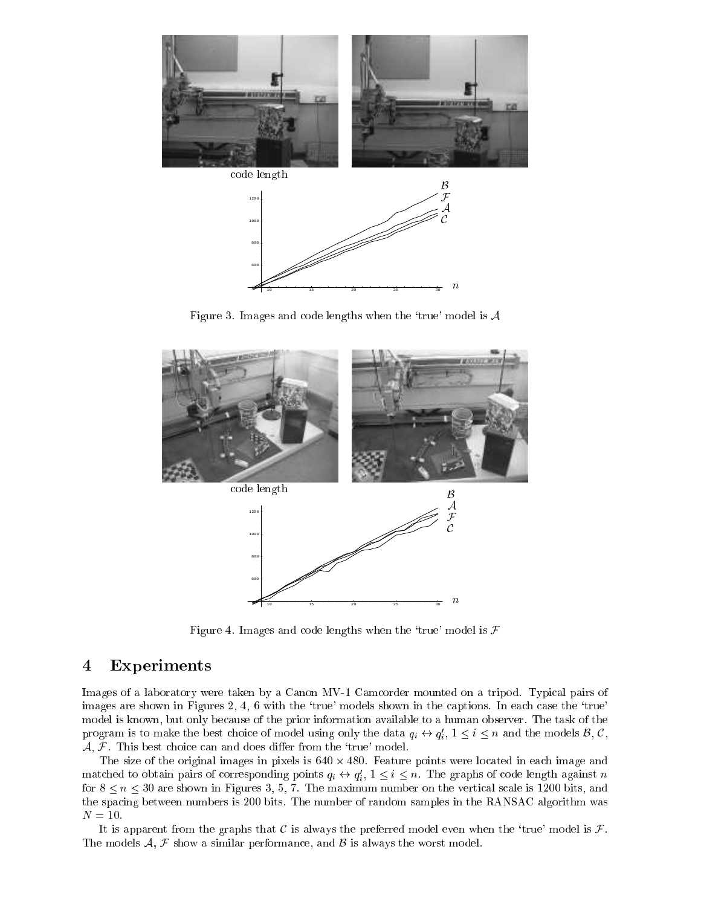

Figure 3. Images and code lengths when the 'true' model is  $A$ 

10 15 20 25 30



Figure 4. Images and code lengths when the 'true' model is  $\mathcal F$ 

#### 4Experiments

Images of a laboratory were taken by a Canon MV-1 Camcorder mounted on a tripod. Typical pairs of images are shown in Figures 2, 4, 6 with the 'true' models shown in the captions. In each case the 'true' model is known, but only because of the prior information available to a human observer. The task of the program is to make the best choice of model using only the data  $q_i \leftrightarrow q'_i$ ,  $1 \leq i \leq n$  and the models  $\mathcal{B}, \mathcal{C},$  $A, F.$  This best choice can and does differ from the 'true' model.

The size of the original images in pixels in pixels in each image and in each image and in each image and in each image and images in each image and in each image and image and image and image and image and image and imag matched to obtain pairs of corresponding points  $q_i \leftrightarrow q'_i$ ,  $1 \leq i \leq n$ . The graphs of code length against n for  $8 \le n \le 30$  are shown in Figures 3, 5, 7. The maximum number on the vertical scale is 1200 bits, and the spacing between numbers is 200 bits. The number of random samples in the RANSAC algorithm was  $N = 10$ .

It is apparent from the graphs that C is always the preferred model even when the 'true' model is  $\mathcal F$ . The models  $A, F$  show a similar performance, and  $B$  is always the worst model.